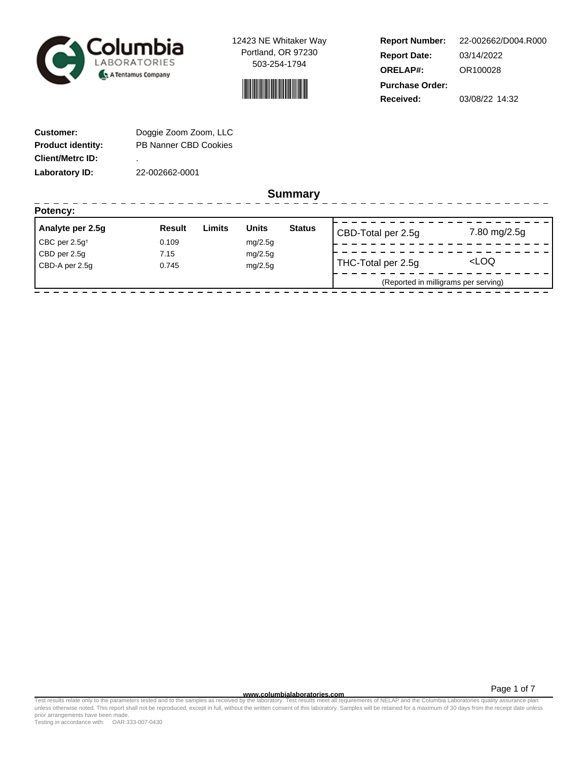



**Report Number: Report Date: ORELAP#:** 03/14/2022 OR100028 **Received:** 03/08/22 14:32 **Purchase Order:** 22-002662/D004.R000

------------------

| <b>Customer:</b>         | Doggie Zoom Zoom, LLC        |
|--------------------------|------------------------------|
| <b>Product identity:</b> | <b>PB Nanner CBD Cookies</b> |
| <b>Client/Metrc ID:</b>  | ٠                            |
| Laboratory ID:           | 22-002662-0001               |

----------------

**Summary**

| Potency:                             |               |        |              |               |                                      |                     |
|--------------------------------------|---------------|--------|--------------|---------------|--------------------------------------|---------------------|
| Analyte per 2.5g                     | <b>Result</b> | Limits | <b>Units</b> | <b>Status</b> | CBD-Total per 2.5g                   | 7.80 mg/2.5g        |
| $\mathsf{CBC}$ per 2.5g <sup>+</sup> | 0.109         |        | mg/2.5g      |               |                                      |                     |
| CBD per 2.5g                         | 7.15          |        | mg/2.5g      |               |                                      |                     |
| CBD-A per 2.5q                       | 0.745         |        | mg/2.5g      |               | THC-Total per 2.5g                   | <loq< td=""></loq<> |
|                                      |               |        |              |               | (Reported in milligrams per serving) |                     |

Page 1 of 7

www.columbialaboratories.com<br>Test results relate only to the parameters tested and to the samples as received by the laboratories metall requirements of NELAP and the Columbia Laboratories quality assurance plan<br>unless oth prior arrangements have been made.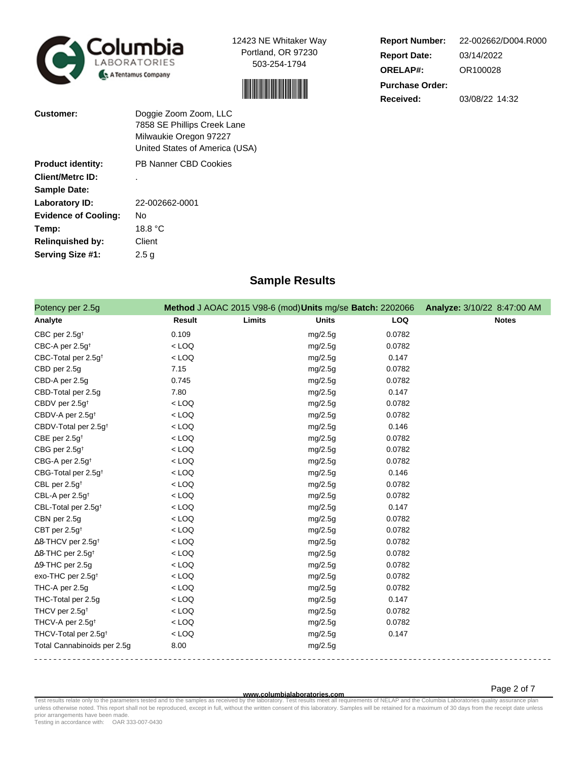



**Report Number: Report Date: ORELAP#:** 03/14/2022 OR100028 **Received:** 03/08/22 14:32 **Purchase Order:** 22-002662/D004.R000

| <b>Customer:</b>            | Doggie Zoom Zoom, LLC<br>7858 SE Phillips Creek Lane<br>Milwaukie Oregon 97227<br>United States of America (USA) |
|-----------------------------|------------------------------------------------------------------------------------------------------------------|
| <b>Product identity:</b>    | PB Nanner CBD Cookies                                                                                            |
| <b>Client/Metrc ID:</b>     |                                                                                                                  |
| <b>Sample Date:</b>         |                                                                                                                  |
| Laboratory ID:              | 22-002662-0001                                                                                                   |
| <b>Evidence of Cooling:</b> | Nο                                                                                                               |
| Temp:                       | 18.8 °C                                                                                                          |
| <b>Relinquished by:</b>     | Client                                                                                                           |
| Serving Size #1:            | 2.5 g                                                                                                            |

# **Sample Results**

| Potency per 2.5g                      |               | Method J AOAC 2015 V98-6 (mod) Units mg/se Batch: 2202066 |              |        | Analyze: 3/10/22 8:47:00 AM |
|---------------------------------------|---------------|-----------------------------------------------------------|--------------|--------|-----------------------------|
| Analyte                               | <b>Result</b> | Limits                                                    | <b>Units</b> | LOQ    | <b>Notes</b>                |
| CBC per $2.5g†$                       | 0.109         |                                                           | mg/2.5g      | 0.0782 |                             |
| CBC-A per 2.5g <sup>t</sup>           | $<$ LOQ       |                                                           | mg/2.5g      | 0.0782 |                             |
| CBC-Total per 2.5g <sup>+</sup>       | $<$ LOQ       |                                                           | mg/2.5g      | 0.147  |                             |
| CBD per 2.5g                          | 7.15          |                                                           | mg/2.5g      | 0.0782 |                             |
| CBD-A per 2.5g                        | 0.745         |                                                           | mg/2.5g      | 0.0782 |                             |
| CBD-Total per 2.5g                    | 7.80          |                                                           | mg/2.5g      | 0.147  |                             |
| CBDV per 2.5g <sup>+</sup>            | $<$ LOQ       |                                                           | mg/2.5g      | 0.0782 |                             |
| CBDV-A per 2.5g <sup>t</sup>          | $<$ LOQ       |                                                           | mg/2.5g      | 0.0782 |                             |
| CBDV-Total per 2.5g <sup>+</sup>      | $<$ LOQ       |                                                           | mg/2.5g      | 0.146  |                             |
| CBE per $2.5g^+$                      | $<$ LOQ       |                                                           | mg/2.5g      | 0.0782 |                             |
| CBG per 2.5g <sup>t</sup>             | $<$ LOQ       |                                                           | mg/2.5g      | 0.0782 |                             |
| CBG-A per 2.5g <sup>t</sup>           | $<$ LOQ       |                                                           | mg/2.5g      | 0.0782 |                             |
| CBG-Total per 2.5g <sup>+</sup>       | $<$ LOQ       |                                                           | mg/2.5g      | 0.146  |                             |
| CBL per 2.5g <sup>t</sup>             | $<$ LOQ       |                                                           | mg/2.5g      | 0.0782 |                             |
| CBL-A per 2.5g <sup>+</sup>           | $<$ LOQ       |                                                           | mg/2.5g      | 0.0782 |                             |
| CBL-Total per 2.5g <sup>+</sup>       | $<$ LOQ       |                                                           | mg/2.5g      | 0.147  |                             |
| CBN per 2.5g                          | $<$ LOQ       |                                                           | mg/2.5g      | 0.0782 |                             |
| CBT per 2.5g <sup>t</sup>             | $<$ LOQ       |                                                           | mg/2.5g      | 0.0782 |                             |
| $\Delta$ 8-THCV per 2.5g <sup>+</sup> | $<$ LOQ       |                                                           | mg/2.5g      | 0.0782 |                             |
| $\Delta$ 8-THC per 2.5g <sup>+</sup>  | $<$ LOQ       |                                                           | mg/2.5g      | 0.0782 |                             |
| $\Delta$ 9-THC per 2.5g               | $<$ LOQ       |                                                           | mg/2.5g      | 0.0782 |                             |
| exo-THC per 2.5g <sup>+</sup>         | $<$ LOQ       |                                                           | mg/2.5g      | 0.0782 |                             |
| THC-A per 2.5g                        | $<$ LOQ       |                                                           | mg/2.5g      | 0.0782 |                             |
| THC-Total per 2.5g                    | $<$ LOQ       |                                                           | mg/2.5g      | 0.147  |                             |
| THCV per 2.5g <sup>+</sup>            | $<$ LOQ       |                                                           | mg/2.5g      | 0.0782 |                             |
| THCV-A per 2.5g <sup>t</sup>          | $<$ LOQ       |                                                           | mg/2.5g      | 0.0782 |                             |
| THCV-Total per 2.5g <sup>+</sup>      | $<$ LOQ       |                                                           | mg/2.5g      | 0.147  |                             |
| Total Cannabinoids per 2.5g           | 8.00          |                                                           | mg/2.5g      |        |                             |
|                                       |               |                                                           |              |        |                             |

Page 2 of 7

www.columbialaboratories.com<br>Test results relate only to the parameters tested and to the samples as received by the laboratories metall requirements of NELAP and the Columbia Laboratories quality assurance plan<br>unless oth prior arrangements have been made.

Testing in accordance with: OAR 333-007-0430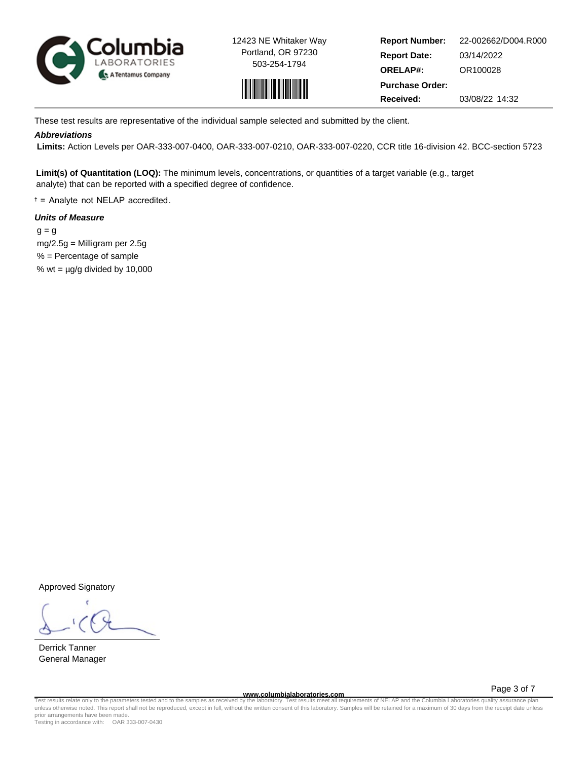



**Report Number: Report Date: ORELAP#:** 03/14/2022 OR100028 **Received:** 03/08/22 14:32 **Purchase Order:** 22-002662/D004.R000

These test results are representative of the individual sample selected and submitted by the client.

## **Abbreviations**

 **Limits:** Action Levels per OAR-333-007-0400, OAR-333-007-0210, OAR-333-007-0220, CCR title 16-division 42. BCC-section 5723

**Limit(s) of Quantitation (LOQ):** The minimum levels, concentrations, or quantities of a target variable (e.g., target analyte) that can be reported with a specified degree of confidence.

† = Analyte not NELAP accredited.

# **Units of Measure**

 $q = q$  mg/2.5g = Milligram per 2.5g % = Percentage of sample % wt =  $\mu$ g/g divided by 10,000

Approved Signatory

Derrick Tanner General Manager

**www.columbialaboratories.com**

Page 3 of 7

Test results relate only to the parameters tested and to the samples as received by the laboratory. Test results meet all requirements of NELAP and the Columbia Laboratories quality assurance plan<br>unless otherwise noted. T prior arrangements have been made.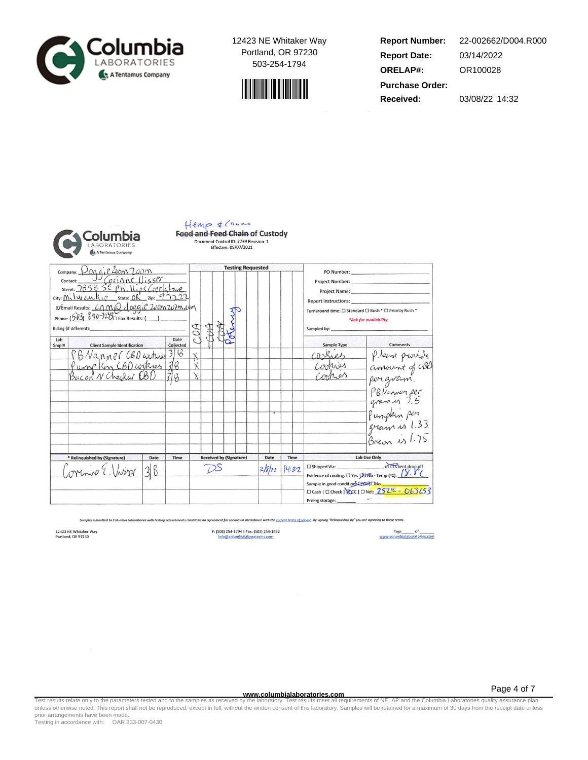



**Report Number: Report Date: ORELAP#:** 03/14/2022 OR100028 **Received:** 03/08/22 14:32 **Purchase Order:** 22-002662/D004.R000



#### Hemp & Canne **Food and Feed Chain of Custody** Document Control ID: 2739 Revision: 1 Effective: 05/07/2021

company: Dog of 2000 7.00 m **Testing Requested** PO Number: Project Number: Project Name: Report Instructions: D'Email Results: CAMQ doggie 200m 202m com Potency Turnaround time:  $\square$  Standard  $\square$  Rush \*  $\square$  Priority Rush \* Phone:  $(503)$   $890-72\frac{8}{10}$  Fax Results: (\_\_) \*Ask for availability COA ACCO **AB** Billing (if different): Sampled by: Date Lab **Client Sample Identification**  $\frac{\text{Collecte}}{\text{3}}$ Sample Type Smpl# Comments please provide PBNanner CBD arker caskies  $rac{1}{18}$ Pump Kin CBD cookers  $\mathbf{\dot{x}}$ Carries amount of CBD Contros  $\lambda$ perigvam. PBNinner per Pumpkin per gram is 1.33 Bacon is 1.75 \* Relinquished by (Sig Date **Received by (Signature)** Date Time Lab Use Only Time  $\overbrace{\hspace{1.5cm}}\text{C3.}\label{C1}$  This<br>produce of cooling:  $\square$  Yes  $\succright\hspace{-0.2cm}\longrightarrow$  Yes  $\cdot$  Temp (°C):  $\left(\overbrace{\phantom{1}}^{S},\overbrace{\phantom{1}}^{S^{T}}\left(\overbrace{\phantom{1}}^{S}\right)$  $DS$ aring E.  $38$  $2/8/22$ 14:32 Sample in good condition Pro TCNo<br>  $\Box$  Cash |  $\Box$  Check | 20cc |  $\Box$  Net:  $\frac{252\%}{252\%}$  -  $\frac{063653}{252}$ Prelog storage:

t for services in accordance with the <u>current terms of service</u>. By signing "Relinquished by" you are agreeing to these terms

12423 NE Whitaker Way<br>Portland, OR 97230

P: (503) 254-1794 | Fax: (503) 254-1452

Page 4 of 7

**www.columbialaboratories.com**<br>Test results relate only to the parameters tested and to the samples as received by the laboratory. Test results meet all requ Test results relate only to the parameters tested and to the samples as received by the laboratory. Test results meet all requirements of NELAP and the Columbia Laboratories quality assurance plan<br>unless otherwise noted. T prior arrangements have been made.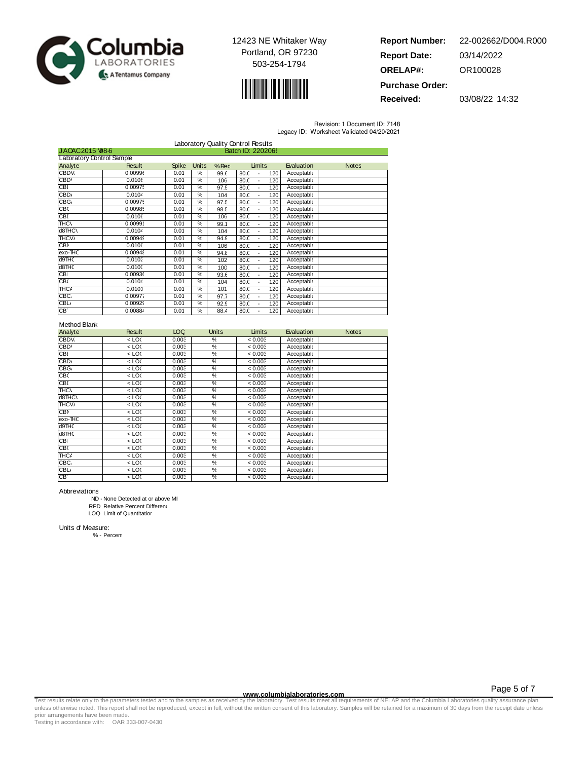



**Report Number: Report Date: ORELAP#:** 03/14/2022 OR100028 **Purchase Order:** 22-002662/D004.R000

**Received:** 03/08/22 14:32

Revision: 1 Document ID: 7148

| Legacy ID: Worksheet Validated 04/20/2021 |  |  |
|-------------------------------------------|--|--|
|                                           |  |  |

|                           |                                     |              |               |      | Laboratory Quality Control Results |            |              |  |
|---------------------------|-------------------------------------|--------------|---------------|------|------------------------------------|------------|--------------|--|
|                           | Batch ID: 2202066<br>JAOAC2015 98-6 |              |               |      |                                    |            |              |  |
| Laboratory Control Sample |                                     |              |               |      |                                    |            |              |  |
| Analyte                   | Result                              | <b>Spike</b> | Units         | %Rec | Limits                             | Evaluation | <b>Notes</b> |  |
| CBDV.                     | 0.00996                             | 0.01         | %             | 99.6 | 80.0<br>120                        | Acceptable |              |  |
| CBD'                      | 0.0106                              | 0.01         | %             | 106  | 80.0<br>120<br>$\blacksquare$      | Acceptable |              |  |
| <b>CBI</b>                | 0.00975                             | 0.01         | ℀             | 97.5 | 80.0<br>120                        | Acceptable |              |  |
| CBD <sub>i</sub>          | 0.0104                              | 0.01         | %             | 104  | 80.0<br>120<br>$\blacksquare$      | Acceptable |              |  |
| CBG <sub>/</sub>          | 0.00975                             | 0.01         | $\frac{0}{c}$ | 97.5 | 80.0<br>120                        | Acceptable |              |  |
| CBC                       | 0.0098!                             | 0.01         | %             | 98.5 | 80.0<br>120<br>$\blacksquare$      | Acceptable |              |  |
| CBI                       | 0.0106                              | 0.01         | %             | 106  | 80.0<br>120                        | Acceptable |              |  |
| <b>THC/</b>               | 0.0099'                             | 0.01         | %             | 99.1 | 80.0<br>120<br>÷,                  | Acceptable |              |  |
| d8THC\                    | 0.0104                              | 0.01         | %             | 104  | 80.0<br>120<br>÷,                  | Acceptable |              |  |
| <b>THCV</b>               | 0.00949                             | 0.01         | %             | 94.9 | 80.0<br>120<br>÷,                  | Acceptable |              |  |
| <b>CBN</b>                | 0.0106                              | 0.01         | $\frac{0}{c}$ | 106  | 80.0<br>120<br>$\overline{a}$      | Acceptable |              |  |
| exo-THC                   | 0.00948                             | 0.01         | %             | 94.8 | 80.0<br>120<br>$\overline{a}$      | Acceptable |              |  |
| d9THC                     | 0.0102                              | 0.01         | %             | 102  | 80.0<br>120                        | Acceptable |              |  |
| d8THC                     | 0.0100                              | 0.01         | %             | 100  | 80.0<br>120                        | Acceptable |              |  |
| CBI                       | 0.00936                             | 0.01         | %             | 93.6 | 80.0<br>120                        | Acceptable |              |  |
| CB(                       | 0.0104                              | 0.01         | %             | 104  | 80.0<br>120                        | Acceptable |              |  |
| THC/                      | 0.0101                              | 0.01         | $\frac{0}{c}$ | 101  | 80.0<br>120<br>ä,                  | Acceptable |              |  |
| CBC.                      | 0.00977                             | 0.01         | $\frac{0}{c}$ | 97.7 | 80.0<br>120<br>$\overline{a}$      | Acceptable |              |  |
| <b>CBL</b>                | 0.00929                             | 0.01         | %             | 92.9 | 80.0<br>120                        | Acceptable |              |  |
| CB.                       | 0.00884                             | 0.01         | ℀             | 88.4 | 80.0<br>120                        | Acceptable |              |  |

### Method Blank

| Analyte         | Result  | LOC   | <b>Units</b>  | Limits  | Evaluation | <b>Notes</b> |
|-----------------|---------|-------|---------------|---------|------------|--------------|
| CBDV.           | 10<     | 0.003 | ℀             | < 0.003 | Acceptable |              |
| CBD'            | $<$ LOC | 0.003 | %             | < 0.003 | Acceptable |              |
| CBI             | 10<     | 0.003 | %             | < 0.003 | Acceptable |              |
| CBD             | 10<     | 0.003 | %             | < 0.003 | Acceptable |              |
| CBG             | $<$ LOC | 0.003 | %             | < 0.003 | Acceptable |              |
| CEC             | 10<     | 0.003 | %             | < 0.003 | Acceptable |              |
| <b>CBI</b>      | $<$ LOC | 0.003 | %             | < 0.003 | Acceptable |              |
| HCl             | 10<     | 0.003 | %             | < 0.003 | Acceptable |              |
| d8THC\          | $<$ LOC | 0.003 | $\frac{9}{6}$ | < 0.003 | Acceptable |              |
| THCV/           | $<$ LOC | 0.003 | %             | < 0.003 | Acceptable |              |
| <b>CBN</b>      | 10<     | 0.003 | %             | < 0.003 | Acceptable |              |
| exo-THC         | $<$ LOC | 0.003 | %             | < 0.003 | Acceptable |              |
| d9THC           | 10<     | 0.003 | %             | < 0.003 | Acceptable |              |
| d8THC           | $<$ LOC | 0.003 | %             | < 0.003 | Acceptable |              |
| <b>CBI</b>      | $<$ LOC | 0.003 | %             | < 0.003 | Acceptable |              |
| CB <sub>C</sub> | $<$ LOC | 0.003 | %             | < 0.003 | Acceptable |              |
| THC             | $<$ LOC | 0.003 | %             | < 0.003 | Acceptable |              |
| CBC.            | 10<     | 0.003 | %             | < 0.003 | Acceptable |              |
| <b>CBL</b>      | $<$ LOC | 0.003 | %             | < 0.003 | Acceptable |              |
| CB.             | $<$ LOC | 0.003 | %             | < 0.003 | Acceptable |              |

Abbreviations

ND - None Detected at or above MI RPD Relative Percent Differen

LOQ Limit of Quantitation

Units of Measure:

% - Percent

www.columbialaboratories.com<br>Test results relate only to the parameters tested and to the samples as received by the laboratories metall requirements of NELAP and the Columbia Laboratories quality assurance plan<br>unless oth prior arrangements have been made.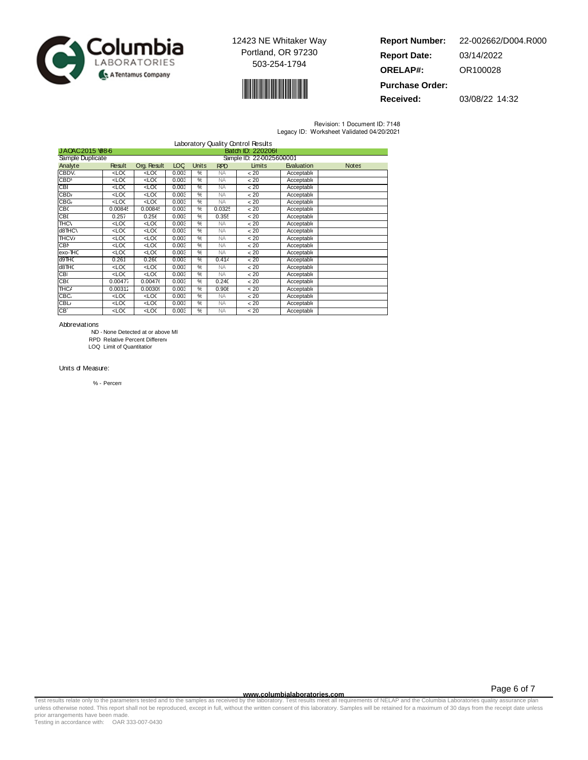



| <b>Report Number:</b>  | 22-002662/D004.R000 |
|------------------------|---------------------|
| <b>Report Date:</b>    | 03/14/2022          |
| <b>ORELAP#:</b>        | OR100028            |
| <b>Purchase Order:</b> |                     |

**Received:** 03/08/22 14:32

Revision: 1 Document ID: 7148

| Legacy ID: Worksheet Validated 04/20/2021 |  |  |  |
|-------------------------------------------|--|--|--|
|-------------------------------------------|--|--|--|

|                  |                                                                                                                                              |                                                                                                           |            |               |            | Laboratory Quality Control Results |            |              |
|------------------|----------------------------------------------------------------------------------------------------------------------------------------------|-----------------------------------------------------------------------------------------------------------|------------|---------------|------------|------------------------------------|------------|--------------|
|                  | Batch ID: 2202066<br>JAO 4C2015 \68-6                                                                                                        |                                                                                                           |            |               |            |                                    |            |              |
| Sample Duplicate |                                                                                                                                              |                                                                                                           |            |               |            | Sample ID: 22-0025600001           |            |              |
| Analyte          | Result                                                                                                                                       | Org. Result                                                                                               | <b>LOC</b> | Units         | <b>RPD</b> | Limits                             | Evaluation | <b>Notes</b> |
| CBDV.            | $rac{1}{2}$                                                                                                                                  | <loc< td=""><td>0.003</td><td>%</td><td><b>NA</b></td><td>&lt; 20</td><td>Acceptable</td><td></td></loc<> | 0.003      | %             | <b>NA</b>  | < 20                               | Acceptable |              |
| CBD <sup>®</sup> | 20<                                                                                                                                          | $\overline{2}$                                                                                            | 0.003      | %             | <b>NA</b>  | < 20                               | Acceptable |              |
| CBF              | <loc< td=""><td><loc< td=""><td>0.003</td><td>%</td><td><b>NA</b></td><td>&lt; 20</td><td>Acceptable</td><td></td></loc<></td></loc<>        | <loc< td=""><td>0.003</td><td>%</td><td><b>NA</b></td><td>&lt; 20</td><td>Acceptable</td><td></td></loc<> | 0.003      | %             | <b>NA</b>  | < 20                               | Acceptable |              |
| CBD <sub>i</sub> | 20<                                                                                                                                          | 200                                                                                                       | 0.003      | %             | <b>NA</b>  | < 20                               | Acceptable |              |
| CBG              | 20<                                                                                                                                          | 20<                                                                                                       | 0.003      | %             | <b>NA</b>  | < 20                               | Acceptable |              |
| CBC              | 0.0084!                                                                                                                                      | 0.00845                                                                                                   | 0.003      | %             | 0.0325     | < 20                               | Acceptable |              |
| <b>CBI</b>       | 0.257                                                                                                                                        | 0.256                                                                                                     | 0.003      | %             | 0.355      | < 20                               | Acceptable |              |
| HCl              | 20<                                                                                                                                          | 200                                                                                                       | 0.003      | $\frac{9}{6}$ | <b>NA</b>  | < 20                               | Acceptable |              |
| d8THC\           | 20<                                                                                                                                          | 20<                                                                                                       | 0.003      | $\frac{9}{6}$ | <b>NA</b>  | < 20                               | Acceptable |              |
| THCV/            | 20<                                                                                                                                          | $\overline{2}$                                                                                            | 0.003      | $\frac{9}{6}$ | <b>NA</b>  | < 20                               | Acceptable |              |
| <b>CBN</b>       | 20<                                                                                                                                          | 200                                                                                                       | 0.003      | %             | <b>NA</b>  | < 20                               | Acceptable |              |
| exo-THC          | 20<                                                                                                                                          | 200                                                                                                       | 0.003      | %             | <b>NA</b>  | < 20                               | Acceptable |              |
| d9THC            | 0.261                                                                                                                                        | 0.260                                                                                                     | 0.003      | %             | 0.414      | < 20                               | Acceptable |              |
| d8THC            | 20<                                                                                                                                          | 200                                                                                                       | 0.003      | %             | <b>NA</b>  | < 20                               | Acceptable |              |
| <b>CBI</b>       | 20<                                                                                                                                          | $\overline{2}$                                                                                            | 0.003      | %             | <b>NA</b>  | < 20                               | Acceptable |              |
| CB <sub>(</sub>  | 0.00477                                                                                                                                      | 0.00476                                                                                                   | 0.003      | %             | 0.24C      | < 20                               | Acceptable |              |
| THC              | 0.00312                                                                                                                                      | 0.00309                                                                                                   | 0.003      | %             | 0.905      | < 20                               | Acceptable |              |
| CBC.             | <loc< td=""><td>200</td><td>0.003</td><td><math>\frac{9}{6}</math></td><td><b>NA</b></td><td>&lt; 20</td><td>Acceptable</td><td></td></loc<> | 200                                                                                                       | 0.003      | $\frac{9}{6}$ | <b>NA</b>  | < 20                               | Acceptable |              |
| <b>CBL</b>       | 20<                                                                                                                                          | 200                                                                                                       | 0.003      | %             | <b>NA</b>  | < 20                               | Acceptable |              |
| CB.              | 20<                                                                                                                                          | 200                                                                                                       | 0.003      | $\frac{9}{6}$ | <b>NA</b>  | < 20                               | Acceptable |              |

Abbreviations

ND - None Detected at or above MI

RPD Relative Percent Differen

LOQ Limit of Quantitation

Units of Measure:

% - Percent

Page 6 of 7

www.columbialaboratories.com<br>Test results relate only to the parameters tested and to the samples as received by the laboratories metall requirements of NELAP and the Columbia Laboratories quality assurance plan<br>unless oth prior arrangements have been made.